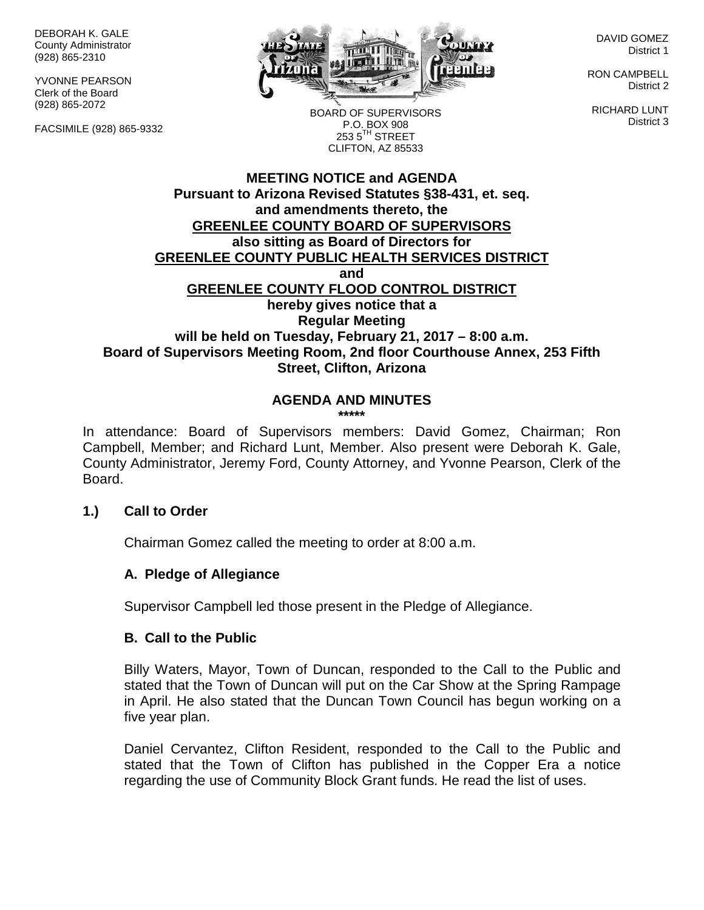DEBORAH K. GALE County Administrator (928) 865-2310

YVONNE PEARSON Clerk of the Board (928) 865-2072

FACSIMILE (928) 865-9332



DAVID GOMEZ District 1

RON CAMPBELL District 2

RICHARD LUNT District 3

BOARD OF SUPERVISORS P.O. BOX 908  $253.5$ <sup>TH</sup> STREET CLIFTON, AZ 85533

## **MEETING NOTICE and AGENDA Pursuant to Arizona Revised Statutes §38-431, et. seq. and amendments thereto, the GREENLEE COUNTY BOARD OF SUPERVISORS also sitting as Board of Directors for GREENLEE COUNTY PUBLIC HEALTH SERVICES DISTRICT and GREENLEE COUNTY FLOOD CONTROL DISTRICT hereby gives notice that a Regular Meeting will be held on Tuesday, February 21, 2017 – 8:00 a.m. Board of Supervisors Meeting Room, 2nd floor Courthouse Annex, 253 Fifth Street, Clifton, Arizona**

# **AGENDA AND MINUTES**

**\*\*\*\*\***

In attendance: Board of Supervisors members: David Gomez, Chairman; Ron Campbell, Member; and Richard Lunt, Member. Also present were Deborah K. Gale, County Administrator, Jeremy Ford, County Attorney, and Yvonne Pearson, Clerk of the Board.

## **1.) Call to Order**

Chairman Gomez called the meeting to order at 8:00 a.m.

## **A. Pledge of Allegiance**

Supervisor Campbell led those present in the Pledge of Allegiance.

## **B. Call to the Public**

Billy Waters, Mayor, Town of Duncan, responded to the Call to the Public and stated that the Town of Duncan will put on the Car Show at the Spring Rampage in April. He also stated that the Duncan Town Council has begun working on a five year plan.

Daniel Cervantez, Clifton Resident, responded to the Call to the Public and stated that the Town of Clifton has published in the Copper Era a notice regarding the use of Community Block Grant funds. He read the list of uses.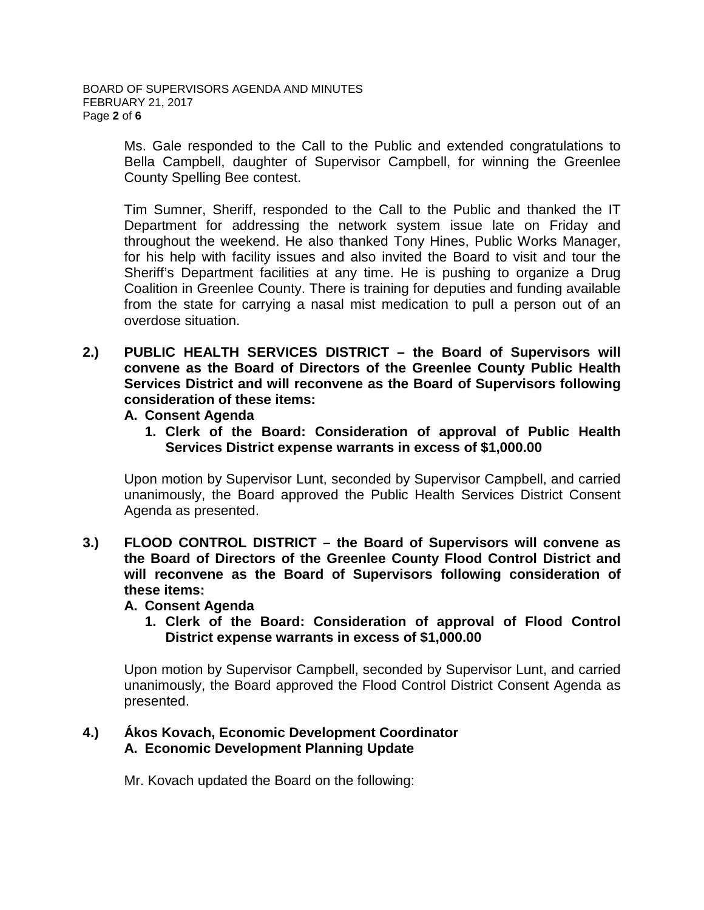Ms. Gale responded to the Call to the Public and extended congratulations to Bella Campbell, daughter of Supervisor Campbell, for winning the Greenlee County Spelling Bee contest.

Tim Sumner, Sheriff, responded to the Call to the Public and thanked the IT Department for addressing the network system issue late on Friday and throughout the weekend. He also thanked Tony Hines, Public Works Manager, for his help with facility issues and also invited the Board to visit and tour the Sheriff's Department facilities at any time. He is pushing to organize a Drug Coalition in Greenlee County. There is training for deputies and funding available from the state for carrying a nasal mist medication to pull a person out of an overdose situation.

- **2.) PUBLIC HEALTH SERVICES DISTRICT – the Board of Supervisors will convene as the Board of Directors of the Greenlee County Public Health Services District and will reconvene as the Board of Supervisors following consideration of these items:**
	- **A. Consent Agenda**
		- **1. Clerk of the Board: Consideration of approval of Public Health Services District expense warrants in excess of \$1,000.00**

Upon motion by Supervisor Lunt, seconded by Supervisor Campbell, and carried unanimously, the Board approved the Public Health Services District Consent Agenda as presented.

- **3.) FLOOD CONTROL DISTRICT – the Board of Supervisors will convene as the Board of Directors of the Greenlee County Flood Control District and will reconvene as the Board of Supervisors following consideration of these items:**
	- **A. Consent Agenda**
		- **1. Clerk of the Board: Consideration of approval of Flood Control District expense warrants in excess of \$1,000.00**

Upon motion by Supervisor Campbell, seconded by Supervisor Lunt, and carried unanimously, the Board approved the Flood Control District Consent Agenda as presented.

## **4.) Ákos Kovach, Economic Development Coordinator A. Economic Development Planning Update**

Mr. Kovach updated the Board on the following: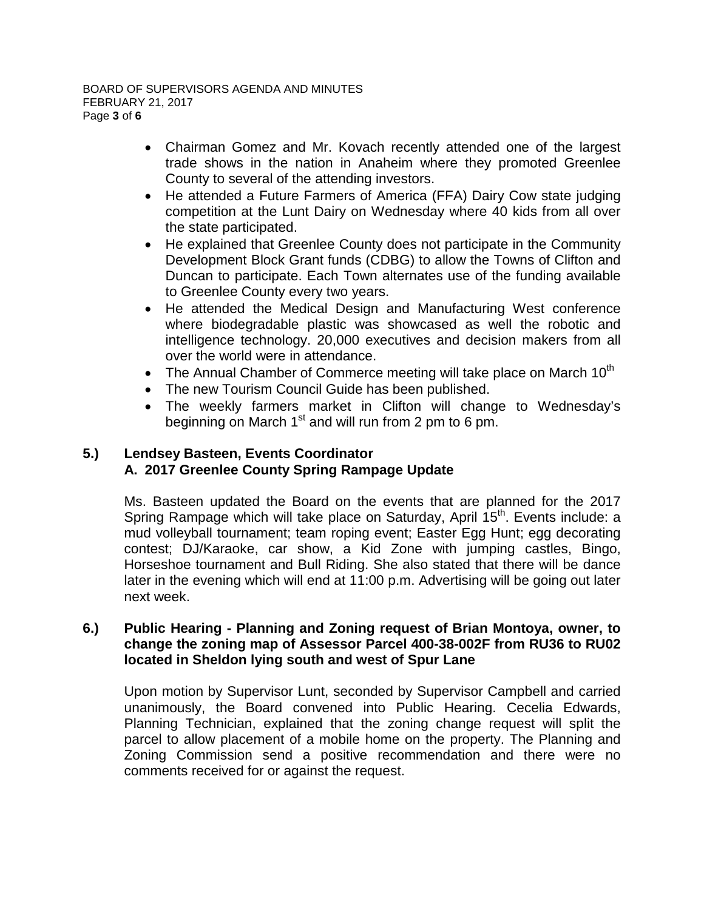- Chairman Gomez and Mr. Kovach recently attended one of the largest trade shows in the nation in Anaheim where they promoted Greenlee County to several of the attending investors.
- He attended a Future Farmers of America (FFA) Dairy Cow state judging competition at the Lunt Dairy on Wednesday where 40 kids from all over the state participated.
- He explained that Greenlee County does not participate in the Community Development Block Grant funds (CDBG) to allow the Towns of Clifton and Duncan to participate. Each Town alternates use of the funding available to Greenlee County every two years.
- He attended the Medical Design and Manufacturing West conference where biodegradable plastic was showcased as well the robotic and intelligence technology. 20,000 executives and decision makers from all over the world were in attendance.
- The Annual Chamber of Commerce meeting will take place on March  $10<sup>th</sup>$
- The new Tourism Council Guide has been published.
- The weekly farmers market in Clifton will change to Wednesday's beginning on March  $1<sup>st</sup>$  and will run from 2 pm to 6 pm.

# **5.) Lendsey Basteen, Events Coordinator A. 2017 Greenlee County Spring Rampage Update**

Ms. Basteen updated the Board on the events that are planned for the 2017 Spring Rampage which will take place on Saturday, April  $15<sup>th</sup>$ . Events include: a mud volleyball tournament; team roping event; Easter Egg Hunt; egg decorating contest; DJ/Karaoke, car show, a Kid Zone with jumping castles, Bingo, Horseshoe tournament and Bull Riding. She also stated that there will be dance later in the evening which will end at 11:00 p.m. Advertising will be going out later next week.

#### **6.) Public Hearing - Planning and Zoning request of Brian Montoya, owner, to change the zoning map of Assessor Parcel 400-38-002F from RU36 to RU02 located in Sheldon lying south and west of Spur Lane**

Upon motion by Supervisor Lunt, seconded by Supervisor Campbell and carried unanimously, the Board convened into Public Hearing. Cecelia Edwards, Planning Technician, explained that the zoning change request will split the parcel to allow placement of a mobile home on the property. The Planning and Zoning Commission send a positive recommendation and there were no comments received for or against the request.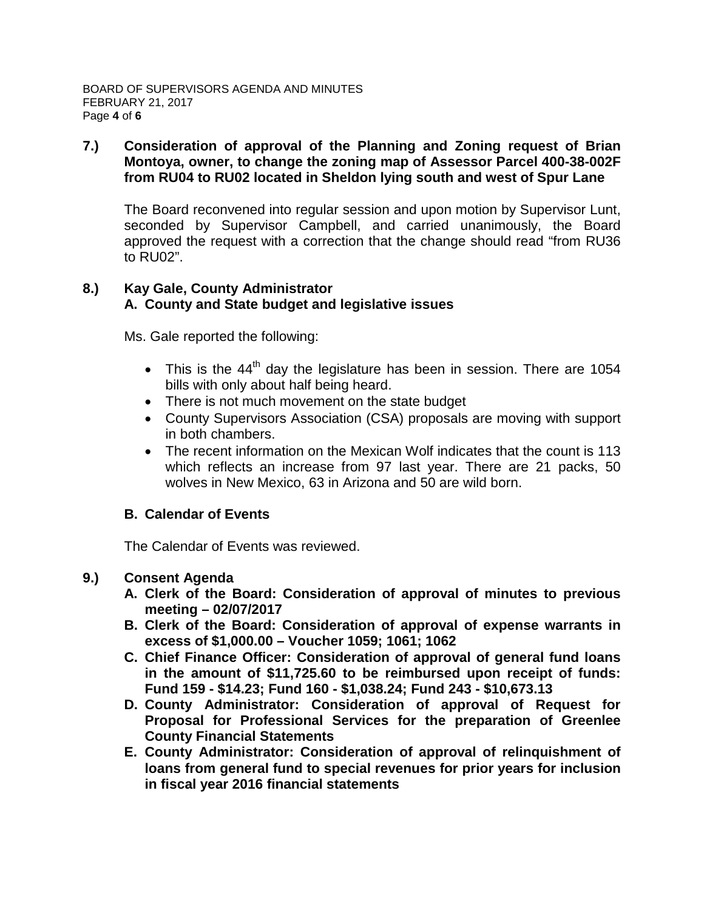## **7.) Consideration of approval of the Planning and Zoning request of Brian Montoya, owner, to change the zoning map of Assessor Parcel 400-38-002F from RU04 to RU02 located in Sheldon lying south and west of Spur Lane**

The Board reconvened into regular session and upon motion by Supervisor Lunt, seconded by Supervisor Campbell, and carried unanimously, the Board approved the request with a correction that the change should read "from RU36 to RU02".

#### **8.) Kay Gale, County Administrator A. County and State budget and legislative issues**

Ms. Gale reported the following:

- This is the  $44<sup>th</sup>$  day the legislature has been in session. There are 1054 bills with only about half being heard.
- There is not much movement on the state budget
- County Supervisors Association (CSA) proposals are moving with support in both chambers.
- The recent information on the Mexican Wolf indicates that the count is 113 which reflects an increase from 97 last year. There are 21 packs, 50 wolves in New Mexico, 63 in Arizona and 50 are wild born.

# **B. Calendar of Events**

The Calendar of Events was reviewed.

## **9.) Consent Agenda**

- **A. Clerk of the Board: Consideration of approval of minutes to previous meeting – 02/07/2017**
- **B. Clerk of the Board: Consideration of approval of expense warrants in excess of \$1,000.00 – Voucher 1059; 1061; 1062**
- **C. Chief Finance Officer: Consideration of approval of general fund loans in the amount of \$11,725.60 to be reimbursed upon receipt of funds: Fund 159 - \$14.23; Fund 160 - \$1,038.24; Fund 243 - \$10,673.13**
- **D. County Administrator: Consideration of approval of Request for Proposal for Professional Services for the preparation of Greenlee County Financial Statements**
- **E. County Administrator: Consideration of approval of relinquishment of loans from general fund to special revenues for prior years for inclusion in fiscal year 2016 financial statements**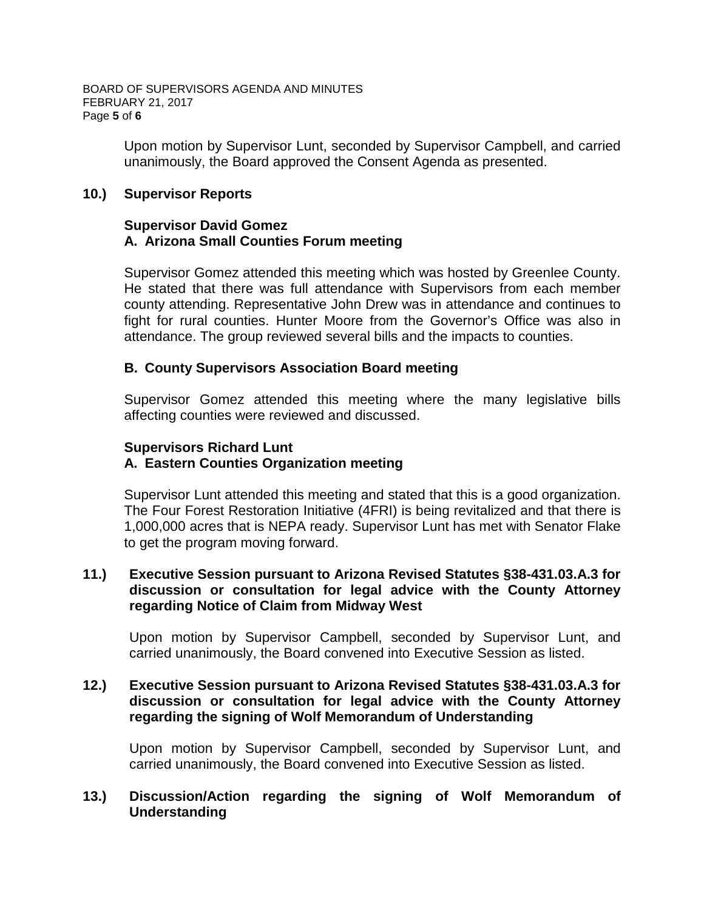Upon motion by Supervisor Lunt, seconded by Supervisor Campbell, and carried unanimously, the Board approved the Consent Agenda as presented.

## **10.) Supervisor Reports**

#### **Supervisor David Gomez A. Arizona Small Counties Forum meeting**

Supervisor Gomez attended this meeting which was hosted by Greenlee County. He stated that there was full attendance with Supervisors from each member county attending. Representative John Drew was in attendance and continues to fight for rural counties. Hunter Moore from the Governor's Office was also in attendance. The group reviewed several bills and the impacts to counties.

## **B. County Supervisors Association Board meeting**

Supervisor Gomez attended this meeting where the many legislative bills affecting counties were reviewed and discussed.

# **Supervisors Richard Lunt A. Eastern Counties Organization meeting**

Supervisor Lunt attended this meeting and stated that this is a good organization. The Four Forest Restoration Initiative (4FRI) is being revitalized and that there is 1,000,000 acres that is NEPA ready. Supervisor Lunt has met with Senator Flake to get the program moving forward.

## **11.) Executive Session pursuant to Arizona Revised Statutes §38-431.03.A.3 for discussion or consultation for legal advice with the County Attorney regarding Notice of Claim from Midway West**

Upon motion by Supervisor Campbell, seconded by Supervisor Lunt, and carried unanimously, the Board convened into Executive Session as listed.

## **12.) Executive Session pursuant to Arizona Revised Statutes §38-431.03.A.3 for discussion or consultation for legal advice with the County Attorney regarding the signing of Wolf Memorandum of Understanding**

Upon motion by Supervisor Campbell, seconded by Supervisor Lunt, and carried unanimously, the Board convened into Executive Session as listed.

# **13.) Discussion/Action regarding the signing of Wolf Memorandum of Understanding**